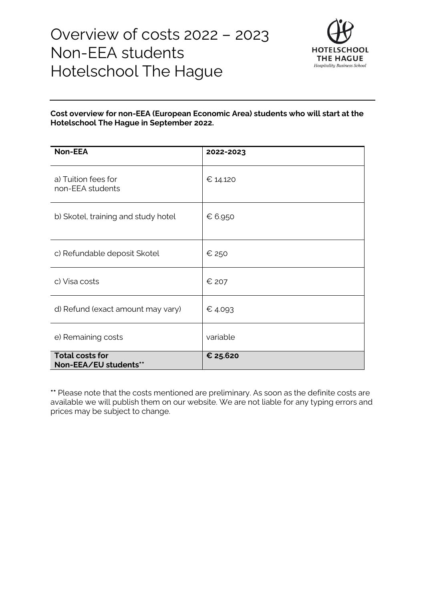

#### **Cost overview for non-EEA (European Economic Area) students who will start at the Hotelschool The Hague in September 2022.**

| <b>Non-EEA</b>                                  | 2022-2023 |
|-------------------------------------------------|-----------|
| a) Tuition fees for<br>non-EEA students         | € 14.120  |
| b) Skotel, training and study hotel             | € 6.950   |
| c) Refundable deposit Skotel                    | € 250     |
| c) Visa costs                                   | € 207     |
| d) Refund (exact amount may vary)               | € 4.093   |
| e) Remaining costs                              | variable  |
| <b>Total costs for</b><br>Non-EEA/EU students** | € 25.620  |

**\*\*** Please note that the costs mentioned are preliminary. As soon as the definite costs are available we will publish them on our website. We are not liable for any typing errors and prices may be subject to change.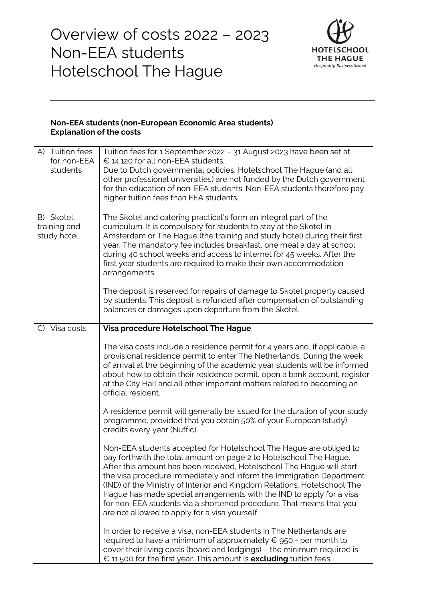

#### **Non-EEA students (non-European Economic Area students) Explanation of the costs**

| A) Tuition fees<br>for non-EEA<br>students | Tuition fees for 1 September 2022 - 31 August 2023 have been set at<br>$\epsilon$ 14.120 for all non-EEA students.<br>Due to Dutch governmental policies, Hotelschool The Hague (and all<br>other professional universities) are not funded by the Dutch government<br>for the education of non-EEA students. Non-EEA students therefore pay<br>higher tuition fees than EEA students.                                                                                                                                                                                |
|--------------------------------------------|-----------------------------------------------------------------------------------------------------------------------------------------------------------------------------------------------------------------------------------------------------------------------------------------------------------------------------------------------------------------------------------------------------------------------------------------------------------------------------------------------------------------------------------------------------------------------|
| B) Skotel,<br>training and<br>study hotel  | The Skotel and catering practical's form an integral part of the<br>curriculum. It is compulsory for students to stay at the Skotel in<br>Amsterdam or The Hague (the training and study hotel) during their first<br>year. The mandatory fee includes breakfast, one meal a day at school<br>during 40 school weeks and access to internet for 45 weeks. After the<br>first year students are required to make their own accommodation<br>arrangements.                                                                                                              |
|                                            | The deposit is reserved for repairs of damage to Skotel property caused<br>by students. This deposit is refunded after compensation of outstanding<br>balances or damages upon departure from the Skotel.                                                                                                                                                                                                                                                                                                                                                             |
| C) Visa costs                              | Visa procedure Hotelschool The Hague                                                                                                                                                                                                                                                                                                                                                                                                                                                                                                                                  |
|                                            | The visa costs include a residence permit for 4 years and, if applicable, a<br>provisional residence permit to enter The Netherlands. During the week<br>of arrival at the beginning of the academic year students will be informed<br>about how to obtain their residence permit, open a bank account, register<br>at the City Hall and all other important matters related to becoming an<br>official resident.                                                                                                                                                     |
|                                            | A residence permit will generally be issued for the duration of your study<br>programme, provided that you obtain 50% of your European (study)<br>credits every year (Nuffic).                                                                                                                                                                                                                                                                                                                                                                                        |
|                                            | Non-EEA students accepted for Hotelschool The Hague are obliged to<br>pay forthwith the total amount on page 2 to Hotelschool The Hague.<br>After this amount has been received, Hotelschool The Hague will start<br>the visa procedure immediately and inform the Immigration Department<br>(IND) of the Ministry of Interior and Kingdom Relations. Hotelschool The<br>Hague has made special arrangements with the IND to apply for a visa<br>for non-EEA students via a shortened procedure. That means that you<br>are not allowed to apply for a visa yourself. |
|                                            | In order to receive a visa, non-EEA students in The Netherlands are<br>required to have a minimum of approximately $\epsilon$ 950,- per month to<br>cover their living costs (board and lodgings) - the minimum required is<br>$\epsilon$ 11.500 for the first year. This amount is <b>excluding</b> tuition fees.                                                                                                                                                                                                                                                    |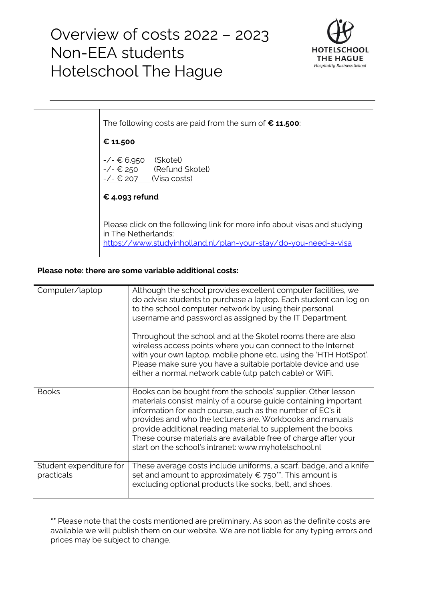

The following costs are paid from the sum of **€ 11.500**: **€ 11.500** -/- € 6.950 (Skotel)  $-\angle$ - $\in$  250 (Refund Skotel)  $-\angle$   $\in$  207 (Visa costs) **€ 4.093 refund**  Please click on the following link for more info about visas and studying in The Netherlands: <https://www.studyinholland.nl/plan-your-stay/do-you-need-a-visa>

#### **Please note: there are some variable additional costs:**

| Computer/laptop                       | Although the school provides excellent computer facilities, we<br>do advise students to purchase a laptop. Each student can log on<br>to the school computer network by using their personal<br>username and password as assigned by the IT Department.<br>Throughout the school and at the Skotel rooms there are also<br>wireless access points where you can connect to the Internet<br>with your own laptop, mobile phone etc. using the 'HTH HotSpot'.<br>Please make sure you have a suitable portable device and use<br>either a normal network cable (utp patch cable) or WiFi. |
|---------------------------------------|-----------------------------------------------------------------------------------------------------------------------------------------------------------------------------------------------------------------------------------------------------------------------------------------------------------------------------------------------------------------------------------------------------------------------------------------------------------------------------------------------------------------------------------------------------------------------------------------|
| <b>Books</b>                          | Books can be bought from the schools' supplier. Other lesson<br>materials consist mainly of a course guide containing important<br>information for each course, such as the number of EC's it<br>provides and who the lecturers are. Workbooks and manuals<br>provide additional reading material to supplement the books.<br>These course materials are available free of charge after your<br>start on the school's intranet: www.myhotelschool.nl                                                                                                                                    |
| Student expenditure for<br>practicals | These average costs include uniforms, a scarf, badge, and a knife<br>set and amount to approximately $\epsilon$ 750**. This amount is<br>excluding optional products like socks, belt, and shoes.                                                                                                                                                                                                                                                                                                                                                                                       |

**\*\*** Please note that the costs mentioned are preliminary. As soon as the definite costs are available we will publish them on our website. We are not liable for any typing errors and prices may be subject to change.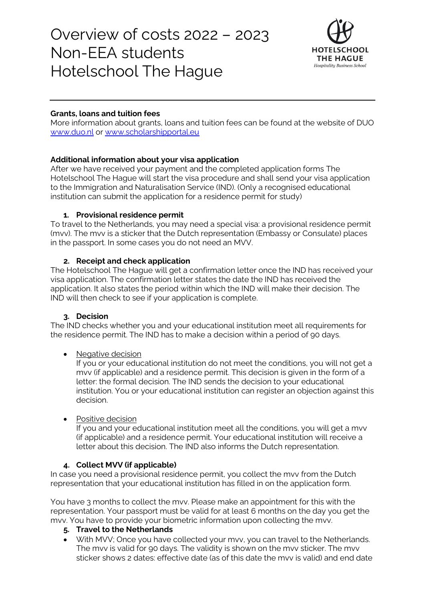

### **Grants, loans and tuition fees**

More information about grants, loans and tuition fees can be found at the website of DUO [www.duo.nl](http://www.duo.nl/) or [www.scholarshipportal.eu](http://www.scholarshipportal.eu/)

## **Additional information about your visa application**

After we have received your payment and the completed application forms The Hotelschool The Hague will start the visa procedure and shall send your visa application to the Immigration and Naturalisation Service (IND). (Only a recognised educational institution can submit the application for a residence permit for study)

## **1. Provisional residence permit**

To travel to the Netherlands, you may need a special visa: a provisional residence permit (mvv). The mvv is a sticker that the Dutch representation (Embassy or Consulate) places in the passport. In some cases you do not need an MVV.

# **2. Receipt and check application**

The Hotelschool The Hague will get a confirmation letter once the IND has received your visa application. The confirmation letter states the date the IND has received the application. It also states the period within which the IND will make their decision. The IND will then check to see if your application is complete.

## **3. Decision**

The IND checks whether you and your educational institution meet all requirements for the residence permit. The IND has to make a decision within a [period](https://ind.nl/en/Pages/decision-periods.aspx) of 90 days.

## • Negative decision

If you or your educational institution do not meet the conditions, you will not get a mvv (if applicable) and a residence permit. This decision is given in the form of a letter: the formal decision. The IND sends the decision to your educational institution. You or your educational institution can [register an objection a](https://ind.nl/en/Pages/objection-and-appeal.aspx)gainst this decision.

## • Positive decision

If you and your educational institution meet all the conditions, you will get a mvv (if applicable) and a residence permit. Your educational institution will receive a letter about this decision. The IND also informs the Dutch representation.

# **4. Collect MVV (if applicable)**

In case you need a provisional residence permit, you collect the mvv from the Dutch representation that your educational institution has filled in on the application form.

You have 3 months to collect the mvv. Please make an appointment for this with the representation. Your passport must be valid for at least 6 months on the day you get the mvv. You have to provide your [biometric information](https://ind.nl/en/Pages/biometric-information.aspx) upon collecting the mvv.

# **5. Travel to the Netherlands**

• With MVV; Once you have collected your mvv, you can travel to the Netherlands. The mvv is valid for 90 days. The validity is shown on the mvv sticker. The mvv sticker shows 2 dates: effective date (as of this date the mvv is valid) and end date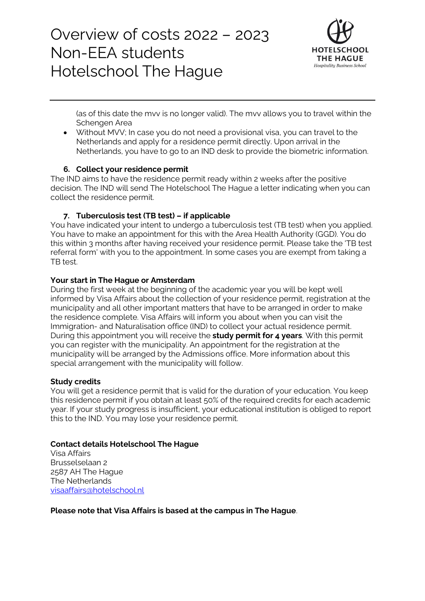

(as of this date the mvv is no longer valid). The mvv allows you to travel within the [Schengen Area](https://ind.nl/en/Pages/schengen-area.aspx)

• Without MVV; In case you do not need a provisional visa, you can travel to the Netherlands and apply for a residence permit directly. Upon arrival in the Netherlands, you have to go to an IND desk to provide the biometric information.

#### **6. Collect your residence permit**

The IND aims to have the residence permit ready within 2 weeks after the positive decision. The IND will send The Hotelschool The Hague a letter indicating when you can collect the residence permit.

#### **7. Tuberculosis test (TB test) – if applicable**

You have indicated your intent to undergo a tuberculosis test (TB test) when you applied. You have to make an appointment for this with the Area Health Authority (GGD). You do this within 3 months after having received your residence permit. Please take th[e 'TB test](https://ind.nl/en/Documents/7604.pdf)  [referral form'](https://ind.nl/en/Documents/7604.pdf) with you to the appointment. In some cases you are exempt from taking a TB test.

#### **Your start in The Hague or Amsterdam**

During the first week at the beginning of the academic year you will be kept well informed by Visa Affairs about the collection of your residence permit, registration at the municipality and all other important matters that have to be arranged in order to make the residence complete. Visa Affairs will inform you about when you can visit the Immigration- and Naturalisation office (IND) to collect your actual residence permit. During this appointment you will receive the **study permit for 4 years**. With this permit you can register with the municipality. An appointment for the registration at the municipality will be arranged by the Admissions office. More information about this special arrangement with the municipality will follow.

#### **Study credits**

You will get a residence permit that is valid for the duration of your education. You keep this residence permit if you obtain at least 50% of the required credits for each academic year. If your study progress is insufficient, your educational institution is obliged to report this to the IND. You may lose your residence permit.

#### **Contact details Hotelschool The Hague**

Visa Affairs Brusselselaan 2 2587 AH The Hague The Netherlands [visaaffairs@hotelschool.nl](mailto:visaaffairs@hotelschool.nl)

**Please note that Visa Affairs is based at the campus in The Hague**.